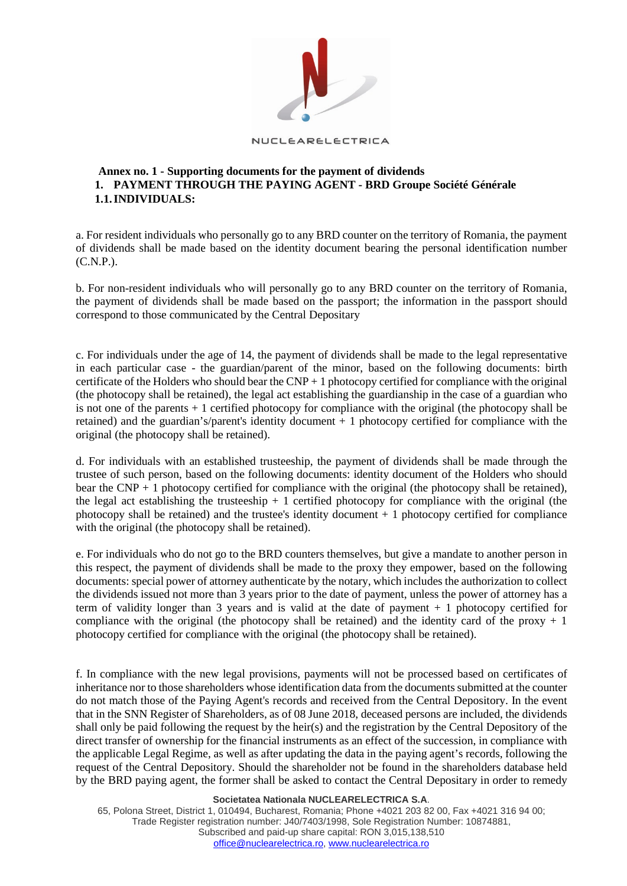

NUCLEARELECTRICA

## **Annex no. 1 - Supporting documents for the payment of dividends 1. PAYMENT THROUGH THE PAYING AGENT - BRD Groupe Société Générale 1.1.INDIVIDUALS:**

a. For resident individuals who personally go to any BRD counter on the territory of Romania, the payment of dividends shall be made based on the identity document bearing the personal identification number (C.N.P.).

b. For non-resident individuals who will personally go to any BRD counter on the territory of Romania, the payment of dividends shall be made based on the passport; the information in the passport should correspond to those communicated by the Central Depositary

c. For individuals under the age of 14, the payment of dividends shall be made to the legal representative in each particular case - the guardian/parent of the minor, based on the following documents: birth certificate of the Holders who should bear the  $CNP + 1$  photocopy certified for compliance with the original (the photocopy shall be retained), the legal act establishing the guardianship in the case of a guardian who is not one of the parents + 1 certified photocopy for compliance with the original (the photocopy shall be retained) and the guardian's/parent's identity document + 1 photocopy certified for compliance with the original (the photocopy shall be retained).

d. For individuals with an established trusteeship, the payment of dividends shall be made through the trustee of such person, based on the following documents: identity document of the Holders who should bear the  $CNP + 1$  photocopy certified for compliance with the original (the photocopy shall be retained), the legal act establishing the trusteeship  $+1$  certified photocopy for compliance with the original (the photocopy shall be retained) and the trustee's identity document  $+1$  photocopy certified for compliance with the original (the photocopy shall be retained).

e. For individuals who do not go to the BRD counters themselves, but give a mandate to another person in this respect, the payment of dividends shall be made to the proxy they empower, based on the following documents: special power of attorney authenticate by the notary, which includes the authorization to collect the dividends issued not more than 3 years prior to the date of payment, unless the power of attorney has a term of validity longer than 3 years and is valid at the date of payment + 1 photocopy certified for compliance with the original (the photocopy shall be retained) and the identity card of the proxy  $+1$ photocopy certified for compliance with the original (the photocopy shall be retained).

f. In compliance with the new legal provisions, payments will not be processed based on certificates of inheritance nor to those shareholders whose identification data from the documents submitted at the counter do not match those of the Paying Agent's records and received from the Central Depository. In the event that in the SNN Register of Shareholders, as of 08 June 2018, deceased persons are included, the dividends shall only be paid following the request by the heir(s) and the registration by the Central Depository of the direct transfer of ownership for the financial instruments as an effect of the succession, in compliance with the applicable Legal Regime, as well as after updating the data in the paying agent's records, following the request of the Central Depository. Should the shareholder not be found in the shareholders database held by the BRD paying agent, the former shall be asked to contact the Central Depositary in order to remedy

## **Societatea Nationala NUCLEARELECTRICA S.A**.

65, Polona Street, District 1, 010494, Bucharest, Romania; Phone +4021 203 82 00, Fax +4021 316 94 00; Trade Register registration number: J40/7403/1998, Sole Registration Number: 10874881, Subscribed and paid-up share capital: RON 3,015,138,510 [office@nuclearelectrica.ro,](mailto:office@nuclearelectrica.ro) [www.nuclearelectrica.ro](http://www.nuclearelectrica.ro/)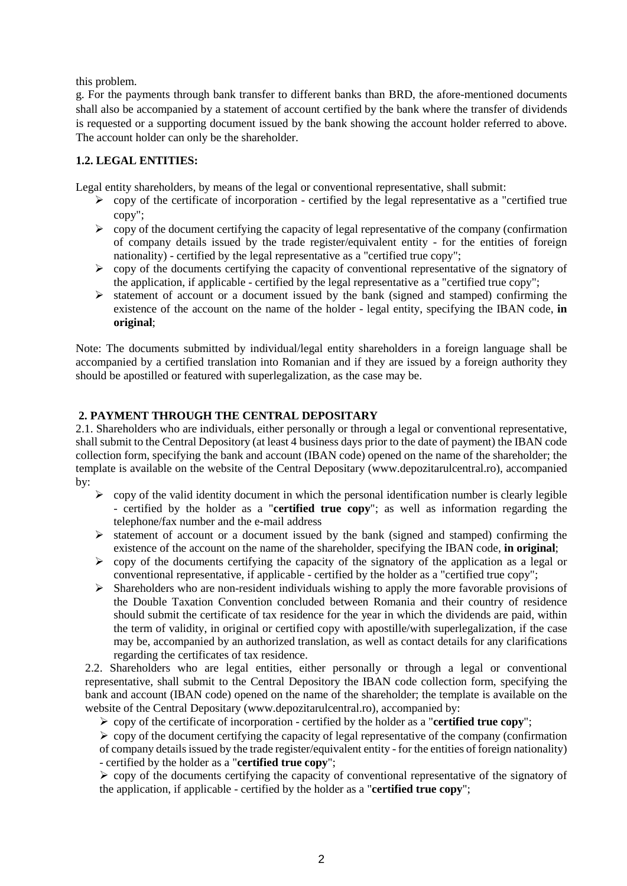this problem.

g. For the payments through bank transfer to different banks than BRD, the afore-mentioned documents shall also be accompanied by a statement of account certified by the bank where the transfer of dividends is requested or a supporting document issued by the bank showing the account holder referred to above. The account holder can only be the shareholder.

## **1.2. LEGAL ENTITIES:**

Legal entity shareholders, by means of the legal or conventional representative, shall submit:

- $\triangleright$  copy of the certificate of incorporation certified by the legal representative as a "certified true" copy";
- $\triangleright$  copy of the document certifying the capacity of legal representative of the company (confirmation of company details issued by the trade register/equivalent entity - for the entities of foreign nationality) - certified by the legal representative as a "certified true copy";
- $\triangleright$  copy of the documents certifying the capacity of conventional representative of the signatory of the application, if applicable - certified by the legal representative as a "certified true copy";
- $\triangleright$  statement of account or a document issued by the bank (signed and stamped) confirming the existence of the account on the name of the holder - legal entity, specifying the IBAN code, **in original**;

Note: The documents submitted by individual/legal entity shareholders in a foreign language shall be accompanied by a certified translation into Romanian and if they are issued by a foreign authority they should be apostilled or featured with superlegalization, as the case may be.

## **2. PAYMENT THROUGH THE CENTRAL DEPOSITARY**

2.1. Shareholders who are individuals, either personally or through a legal or conventional representative, shall submit to the Central Depository (at least 4 business days prior to the date of payment) the IBAN code collection form, specifying the bank and account (IBAN code) opened on the name of the shareholder; the template is available on the website of the Central Depositary (www.depozitarulcentral.ro), accompanied by:

- $\triangleright$  copy of the valid identity document in which the personal identification number is clearly legible - certified by the holder as a "**certified true copy**"; as well as information regarding the telephone/fax number and the e-mail address
- $\triangleright$  statement of account or a document issued by the bank (signed and stamped) confirming the existence of the account on the name of the shareholder, specifying the IBAN code, **in original**;
- $\triangleright$  copy of the documents certifying the capacity of the signatory of the application as a legal or conventional representative, if applicable - certified by the holder as a "certified true copy";
- $\triangleright$  Shareholders who are non-resident individuals wishing to apply the more favorable provisions of the Double Taxation Convention concluded between Romania and their country of residence should submit the certificate of tax residence for the year in which the dividends are paid, within the term of validity, in original or certified copy with apostille/with superlegalization, if the case may be, accompanied by an authorized translation, as well as contact details for any clarifications regarding the certificates of tax residence.

2.2. Shareholders who are legal entities, either personally or through a legal or conventional representative, shall submit to the Central Depository the IBAN code collection form, specifying the bank and account (IBAN code) opened on the name of the shareholder; the template is available on the website of the Central Depositary (www.depozitarulcentral.ro), accompanied by:

 $\triangleright$  copy of the certificate of incorporation - certified by the holder as a "**certified true copy**";

 $\geq$  copy of the document certifying the capacity of legal representative of the company (confirmation of company details issued by the trade register/equivalent entity - for the entities of foreign nationality) - certified by the holder as a "**certified true copy**";

 $\triangleright$  copy of the documents certifying the capacity of conventional representative of the signatory of the application, if applicable - certified by the holder as a "**certified true copy**";